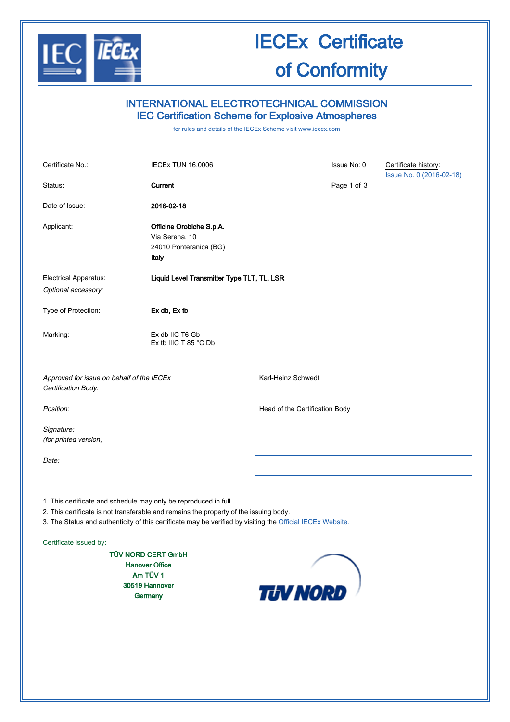

# IECEx Certificate of Conformity

## INTERNATIONAL ELECTROTECHNICAL COMMISSION IEC Certification Scheme for Explosive Atmospheres

for rules and details of the IECEx Scheme visit [www.iecex.com](http://www.iecex.com/)

| Certificate No.:                                                                                                                                                                                                                                                        | <b>IECEX TUN 16.0006</b>                                                      |                                | Issue No: 0 | Certificate history:     |  |  |
|-------------------------------------------------------------------------------------------------------------------------------------------------------------------------------------------------------------------------------------------------------------------------|-------------------------------------------------------------------------------|--------------------------------|-------------|--------------------------|--|--|
| Status:                                                                                                                                                                                                                                                                 | Current                                                                       |                                | Page 1 of 3 | Issue No. 0 (2016-02-18) |  |  |
| Date of Issue:                                                                                                                                                                                                                                                          | 2016-02-18                                                                    |                                |             |                          |  |  |
| Applicant:                                                                                                                                                                                                                                                              | Officine Orobiche S.p.A.<br>Via Serena, 10<br>24010 Ponteranica (BG)<br>Italy |                                |             |                          |  |  |
| Electrical Apparatus:<br>Optional accessory:                                                                                                                                                                                                                            | Liquid Level Transmitter Type TLT, TL, LSR                                    |                                |             |                          |  |  |
| Type of Protection:                                                                                                                                                                                                                                                     | Ex db, Ex tb                                                                  |                                |             |                          |  |  |
| Marking:                                                                                                                                                                                                                                                                | Ex db IIC T6 Gb<br>Ex tb IIIC T 85 $^{\circ}$ C Db                            |                                |             |                          |  |  |
| Approved for issue on behalf of the IECEx<br>Certification Body:                                                                                                                                                                                                        |                                                                               | Karl-Heinz Schwedt             |             |                          |  |  |
| Position:                                                                                                                                                                                                                                                               |                                                                               | Head of the Certification Body |             |                          |  |  |
| Signature:<br>(for printed version)                                                                                                                                                                                                                                     |                                                                               |                                |             |                          |  |  |
| Date:                                                                                                                                                                                                                                                                   |                                                                               |                                |             |                          |  |  |
| 1. This certificate and schedule may only be reproduced in full.<br>2. This certificate is not transferable and remains the property of the issuing body.<br>3. The Status and authenticity of this certificate may be verified by visiting the Official IECEx Website. |                                                                               |                                |             |                          |  |  |
| Certificate issued by:                                                                                                                                                                                                                                                  |                                                                               |                                |             |                          |  |  |
| <b>TÜV NORD CERT GmbH</b><br><b>Hanover Office</b><br>Am TÜV 1                                                                                                                                                                                                          |                                                                               |                                |             |                          |  |  |

30519 Hannover **Germany** 

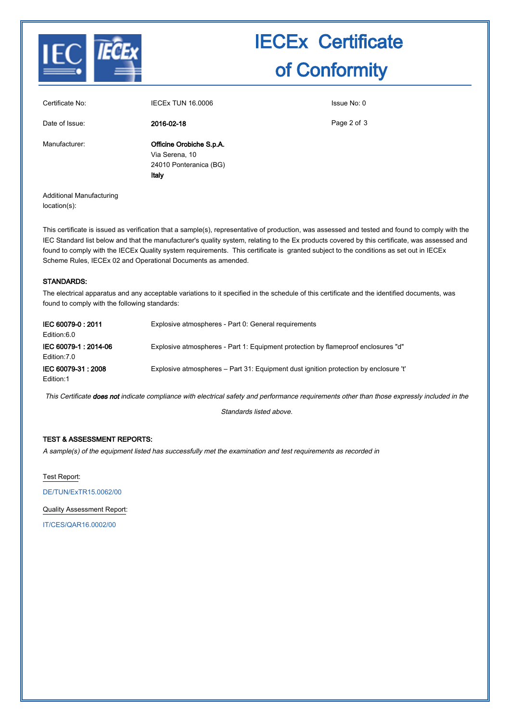

# IECEx Certificate of Conformity

| Certificate No: | <b>IECEX TUN 16,0006</b>                                                      | Issue No: 0 |
|-----------------|-------------------------------------------------------------------------------|-------------|
| Date of Issue:  | 2016-02-18                                                                    | Page 2 of 3 |
| Manufacturer:   | Officine Orobiche S.p.A.<br>Via Serena, 10<br>24010 Ponteranica (BG)<br>Italy |             |

Additional Manufacturing location(s):

This certificate is issued as verification that a sample(s), representative of production, was assessed and tested and found to comply with the IEC Standard list below and that the manufacturer's quality system, relating to the Ex products covered by this certificate, was assessed and found to comply with the IECEx Quality system requirements. This certificate is granted subject to the conditions as set out in IECEx Scheme Rules, IECEx 02 and Operational Documents as amended.

#### STANDARDS:

The electrical apparatus and any acceptable variations to it specified in the schedule of this certificate and the identified documents, was found to comply with the following standards:

| IEC 60079-0: 2011<br>Edition:6.0      | Explosive atmospheres - Part 0: General requirements                                 |
|---------------------------------------|--------------------------------------------------------------------------------------|
| IEC 60079-1 : 2014-06<br>Edition: 7.0 | Explosive atmospheres - Part 1: Equipment protection by flameproof enclosures "d"    |
| IEC 60079-31 : 2008<br>Edition:1      | Explosive atmospheres – Part 31: Equipment dust ignition protection by enclosure 't' |

This Certificate does not indicate compliance with electrical safety and performance requirements other than those expressly included in the

Standards listed above.

### TEST & ASSESSMENT REPORTS:

A sample(s) of the equipment listed has successfully met the examination and test requirements as recorded in

Test Report:

[DE/TUN/ExTR15.0062/00](http://iecex.iec.ch/iecex/IECExWeb.nsf/ExTRNumber/DE/TUN/ExTR15.0062/00?OpenDocument)

Quality Assessment Report:

[IT/CES/QAR16.0002/00](http://iecex.iec.ch/iecex/IECExWeb.nsf/QARNumber/IT/CES/QAR16.0002/00?OpenDocument)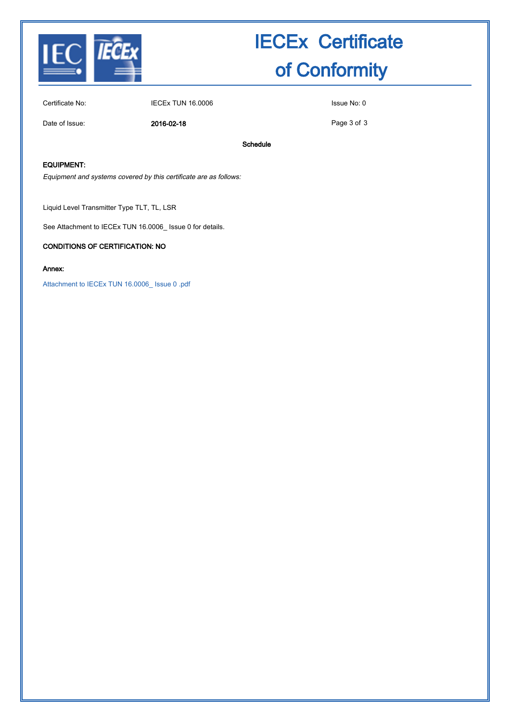

# IECEx Certificate of Conformity

Certificate No: IECEx TUN 16.0006 ISSUE No: 0

Date of Issue: 2016-02-18

Page 3 of 3

Schedule

### EQUIPMENT:

Equipment and systems covered by this certificate are as follows:

Liquid Level Transmitter Type TLT, TL, LSR

See Attachment to IECEx TUN 16.0006\_ Issue 0 for details.

#### CONDITIONS OF CERTIFICATION: NO

#### Annex:

[Attachment to IECEx TUN 16.0006\\_ Issue 0 .pdf](http://iecex.iec.ch/iecex/IECExWeb.nsf/0/539D1FF4B52FD695C1257F560039332F/$File/Attachment to IECEx TUN 16.0006_ Issue 0 .pdf)